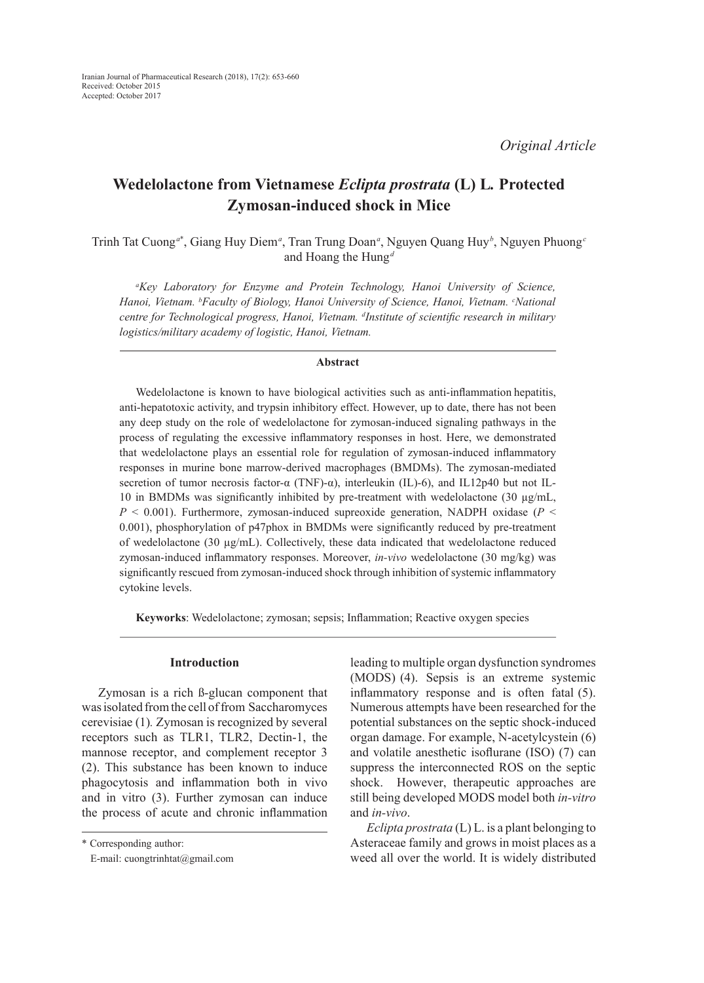*Original Article*

# **Wedelolactone from Vietnamese** *Eclipta prostrata* **(L) L***.* **Protected Zymosan-induced shock in Mice**

Trinh Tat Cuong*<sup>a</sup>*\* , Giang Huy Diem*<sup>a</sup>* , Tran Trung Doan*<sup>a</sup>* , Nguyen Quang Huy*<sup>b</sup>* , Nguyen Phuong*<sup>c</sup>* and Hoang the Hung*<sup>d</sup>*

*a Key Laboratory for Enzyme and Protein Technology, Hanoi University of Science, Hanoi, Vietnam. b Faculty of Biology, Hanoi University of Science, Hanoi, Vietnam. c National centre for Technological progress, Hanoi, Vietnam. d Institute of scientific research in military logistics/military academy of logistic, Hanoi, Vietnam.*

### **Abstract**

Wedelolactone is known to have biological activities such as anti-inflammation hepatitis, anti-hepatotoxic activity, and trypsin inhibitory effect. However, up to date, there has not been any deep study on the role of wedelolactone for zymosan-induced signaling pathways in the process of regulating the excessive inflammatory responses in host. Here, we demonstrated that wedelolactone plays an essential role for regulation of zymosan-induced inflammatory responses in murine bone marrow-derived macrophages (BMDMs). The zymosan-mediated secretion of tumor necrosis factor-α (TNF)-α), interleukin (IL)-6), and IL12p40 but not IL-10 in BMDMs was significantly inhibited by pre-treatment with wedelolactone (30  $\mu$ g/mL,  $P < 0.001$ ). Furthermore, zymosan-induced supreoxide generation, NADPH oxidase ( $P <$ 0.001), phosphorylation of p47phox in BMDMs were significantly reduced by pre-treatment of wedelolactone (30  $\mu$ g/mL). Collectively, these data indicated that wedelolactone reduced zymosan-induced inflammatory responses. Moreover, *in-vivo* wedelolactone (30 mg/kg) was significantly rescued from zymosan-induced shock through inhibition of systemic inflammatory cytokine levels.

**Keyworks**: Wedelolactone; zymosan; sepsis; Inflammation; Reactive oxygen species

# **Introduction**

Zymosan is a rich ß-glucan component that was isolated from the cell of from Saccharomyces cerevisiae (1)*.* Zymosan is recognized by several receptors such as TLR1, TLR2, Dectin-1, the mannose receptor, and complement receptor 3 (2). This substance has been known to induce phagocytosis and inflammation both in vivo and in vitro (3). Further zymosan can induce the process of acute and chronic inflammation leading to multiple organ dysfunction syndromes (MODS) (4). Sepsis is an extreme systemic inflammatory response and is often fatal (5). Numerous attempts have been researched for the potential substances on the septic shock-induced organ damage. For example, N-acetylcystein (6) and volatile anesthetic isoflurane (ISO) (7) can suppress the interconnected ROS on the septic shock. However, therapeutic approaches are still being developed MODS model both *in-vitro* and *in-vivo*.

*Eclipta prostrata* (L) L. is a plant belonging to Asteraceae family and grows in moist places as a weed all over the world. It is widely distributed

<sup>\*</sup> Corresponding author:

E-mail: cuongtrinhtat@gmail.com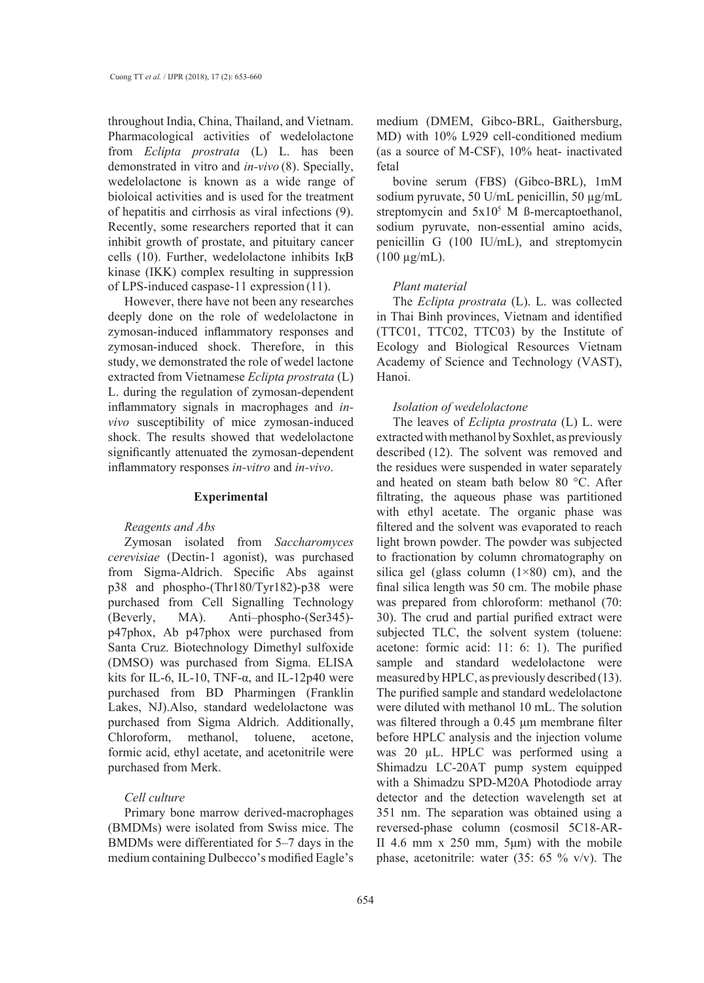throughout India, China, Thailand, and Vietnam. Pharmacological activities of wedelolactone from *Eclipta prostrata* (L) L. has been demonstrated in vitro and *in-vivo* (8). Specially, wedelolactone is known as a wide range of bioloical activities and is used for the treatment of hepatitis and cirrhosis as viral infections (9). Recently, some researchers reported that it can inhibit growth of prostate, and pituitary cancer cells (10). Further, wedelolactone inhibits IқB kinase (IKK) complex resulting in suppression of LPS-induced caspase-11 expression (11).

However, there have not been any researches deeply done on the role of wedelolactone in zymosan-induced inflammatory responses and zymosan-induced shock. Therefore, in this study, we demonstrated the role of wedel lactone extracted from Vietnamese *Eclipta prostrata* (L) L. during the regulation of zymosan-dependent inflammatory signals in macrophages and *invivo* susceptibility of mice zymosan-induced shock. The results showed that wedelolactone significantly attenuated the zymosan-dependent inflammatory responses *in-vitro* and *in-vivo*.

# **Experimental**

# *Reagents and Abs*

Zymosan isolated from *Saccharomyces cerevisiae* (Dectin-1 agonist), was purchased from Sigma-Aldrich. Specific Abs against p38 and phospho-(Thr180/Tyr182)-p38 were purchased from Cell Signalling Technology (Beverly, MA). Anti–phospho-(Ser345) p47phox, Ab p47phox were purchased from Santa Cruz. Biotechnology Dimethyl sulfoxide (DMSO) was purchased from Sigma. ELISA kits for IL-6, IL-10, TNF- $\alpha$ , and IL-12p40 were purchased from BD Pharmingen (Franklin Lakes, NJ).Also, standard wedelolactone was purchased from Sigma Aldrich. Additionally, Chloroform, methanol, toluene, acetone, formic acid, ethyl acetate, and acetonitrile were purchased from Merk.

# *Cell culture*

Primary bone marrow derived-macrophages (BMDMs) were isolated from Swiss mice. The BMDMs were differentiated for 5–7 days in the medium containing Dulbecco's modified Eagle's medium (DMEM, Gibco-BRL, Gaithersburg, MD) with 10% L929 cell-conditioned medium (as a source of M-CSF), 10% heat- inactivated fetal

bovine serum (FBS) (Gibco-BRL), 1mM sodium pyruvate, 50 U/mL penicillin, 50 µg/mL streptomycin and  $5x10<sup>5</sup>$  M ß-mercaptoethanol, sodium pyruvate, non-essential amino acids, penicillin G (100 IU/mL), and streptomycin  $(100 \mu g/mL)$ .

### *Plant material*

The *Eclipta prostrata* (L). L. was collected in Thai Binh provinces, Vietnam and identified (TTC01, TTC02, TTC03) by the Institute of Ecology and Biological Resources Vietnam Academy of Science and Technology (VAST), Hanoi.

# *Isolation of wedelolactone*

The leaves of *Eclipta prostrata* (L) L. were extracted with methanol by Soxhlet, as previously described (12). The solvent was removed and the residues were suspended in water separately and heated on steam bath below 80 °C. After filtrating, the aqueous phase was partitioned with ethyl acetate. The organic phase was filtered and the solvent was evaporated to reach light brown powder. The powder was subjected to fractionation by column chromatography on silica gel (glass column  $(1\times80)$  cm), and the final silica length was 50 cm. The mobile phase was prepared from chloroform: methanol (70: 30). The crud and partial purified extract were subjected TLC, the solvent system (toluene: acetone: formic acid: 11: 6: 1). The purified sample and standard wedelolactone were measured by HPLC, as previously described (13). The purified sample and standard wedelolactone were diluted with methanol 10 mL. The solution was filtered through a 0.45 μm membrane filter before HPLC analysis and the injection volume was 20 µL. HPLC was performed using a Shimadzu LC-20AT pump system equipped with a Shimadzu SPD-M20A Photodiode array detector and the detection wavelength set at 351 nm. The separation was obtained using a reversed-phase column (cosmosil 5C18-AR-II 4.6 mm x 250 mm, 5μm) with the mobile phase, acetonitrile: water (35: 65 % v/v). The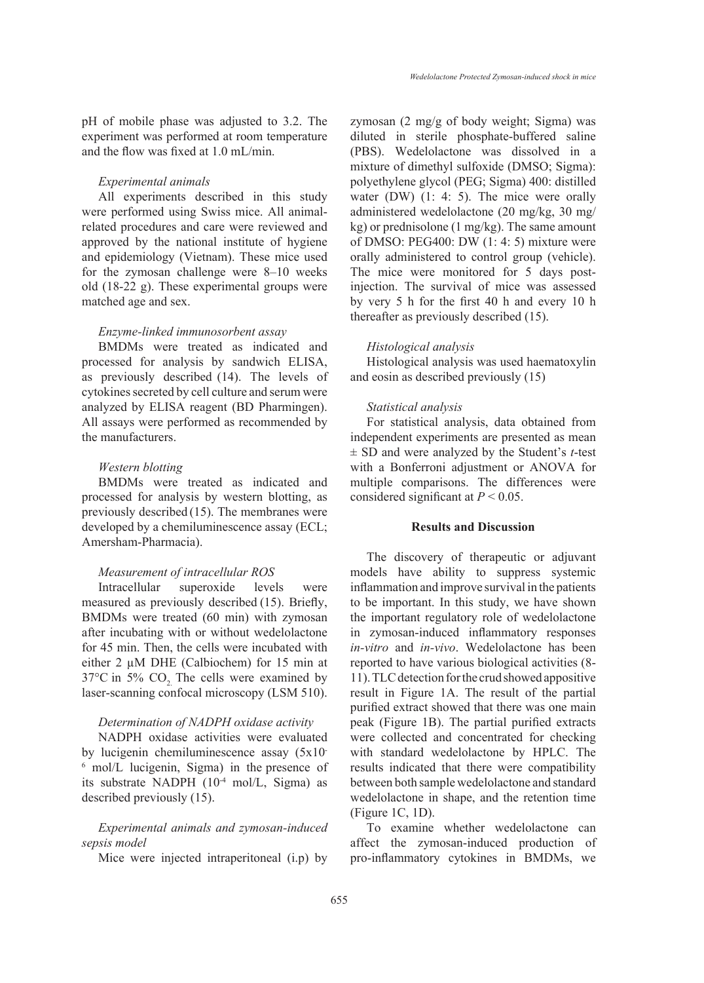pH of mobile phase was adjusted to 3.2. The experiment was performed at room temperature and the flow was fixed at 1.0 mL/min.

# *Experimental animals*

All experiments described in this study were performed using Swiss mice. All animalrelated procedures and care were reviewed and approved by the national institute of hygiene and epidemiology (Vietnam). These mice used for the zymosan challenge were 8–10 weeks old (18-22 g). These experimental groups were matched age and sex.

### *Enzyme-linked immunosorbent assay*

BMDMs were treated as indicated and processed for analysis by sandwich ELISA, as previously described (14). The levels of cytokines secreted by cell culture and serum were analyzed by ELISA reagent (BD Pharmingen). All assays were performed as recommended by the manufacturers.

# *Western blotting*

BMDMs were treated as indicated and processed for analysis by western blotting, as previously described (15). The membranes were developed by a chemiluminescence assay (ECL; Amersham-Pharmacia).

# *Measurement of intracellular ROS*

Intracellular superoxide levels were measured as previously described (15). Briefly, BMDMs were treated (60 min) with zymosan after incubating with or without wedelolactone for 45 min. Then, the cells were incubated with either 2 µM DHE (Calbiochem) for 15 min at  $37^{\circ}$ C in 5% CO<sub>2</sub>. The cells were examined by laser-scanning confocal microscopy (LSM 510).

# *Determination of NADPH oxidase activity*

NADPH oxidase activities were evaluated by lucigenin chemiluminescence assay (5x10- 6 mol/L lucigenin, Sigma) in the presence of its substrate NADPH (10-4 mol/L, Sigma) as described previously (15).

# *Experimental animals and zymosan-induced sepsis model*

Mice were injected intraperitoneal (i.p) by

zymosan (2 mg/g of body weight; Sigma) was diluted in sterile phosphate-buffered saline (PBS). Wedelolactone was dissolved in a mixture of dimethyl sulfoxide (DMSO; Sigma): polyethylene glycol (PEG; Sigma) 400: distilled water (DW) (1: 4: 5). The mice were orally administered wedelolactone (20 mg/kg, 30 mg/ kg) or prednisolone (1 mg/kg). The same amount of DMSO: PEG400: DW (1: 4: 5) mixture were orally administered to control group (vehicle). The mice were monitored for 5 days postinjection. The survival of mice was assessed by very 5 h for the first 40 h and every 10 h thereafter as previously described (15).

### *Histological analysis*

Histological analysis was used haematoxylin and eosin as described previously (15)

# *Statistical analysis*

For statistical analysis, data obtained from independent experiments are presented as mean ± SD and were analyzed by the Student's *t*-test with a Bonferroni adjustment or ANOVA for multiple comparisons. The differences were considered significant at  $P < 0.05$ .

### **Results and Discussion**

The discovery of therapeutic or adjuvant models have ability to suppress systemic inflammation and improve survival in the patients to be important. In this study, we have shown the important regulatory role of wedelolactone in zymosan-induced inflammatory responses *in-vitro* and *in-vivo*. Wedelolactone has been reported to have various biological activities (8- 11). TLC detection for the crud showed appositive result in Figure 1A. The result of the partial purified extract showed that there was one main peak (Figure 1B). The partial purified extracts were collected and concentrated for checking with standard wedelolactone by HPLC. The results indicated that there were compatibility between both sample wedelolactone and standard wedelolactone in shape, and the retention time (Figure 1C, 1D).

To examine whether wedelolactone can affect the zymosan-induced production of pro-inflammatory cytokines in BMDMs, we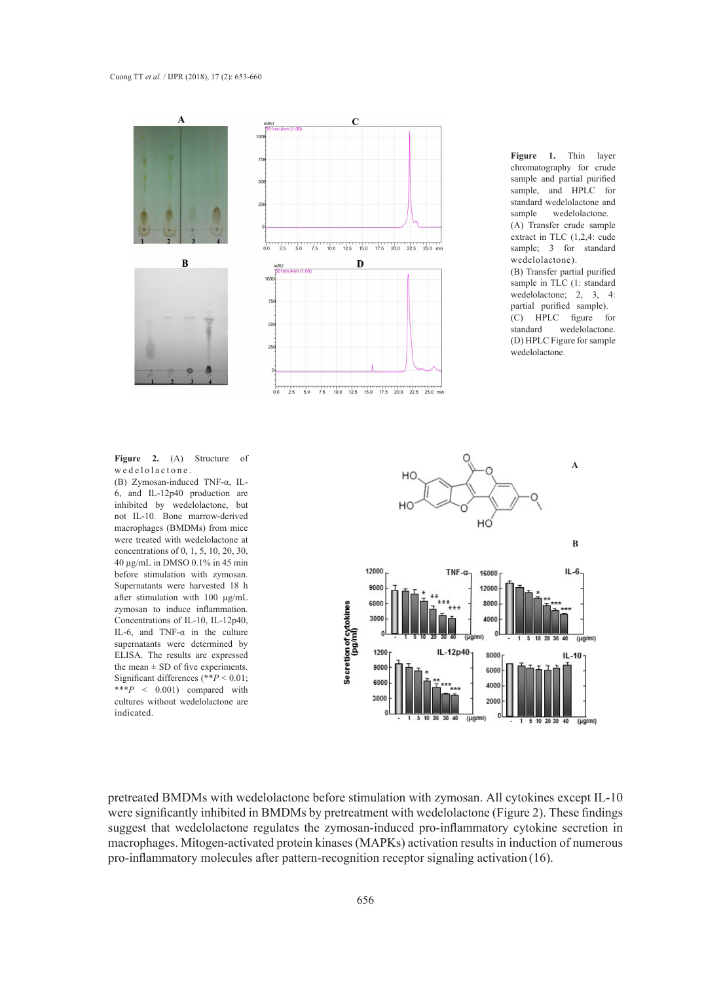#### Cuong TT *et al.* / IJPR (2018), 17 (2): 653-660



**Figure 1.** Thin layer chromatography for crude sample and partial purified sample, and HPLC for standard wedelolactone and<br>sample wedelolactone. wedelolactone. (A) Transfer crude sample extract in TLC (1,2,4: cude sample; 3 for standard wedelolactone). (B) Transfer partial purified sample in TLC (1: standard wedelolactone; 2, 3, 4: partial purified sample). (C) HPLC figure for wedelolactone. (D) HPLC Figure for sample wedelolactone.

we de lolactone.

6, and IL-12p40 production are inhibited by wedelolactone, but not IL-10. Bone marrow-derived macrophages (BMDMs) from mice were treated with wedelolactone at concentrations of 0, 1, 5, 10, 20, 30, 40 µg/mL in DMSO 0.1% in 45 min before stimulation with zymosan. Supernatants were harvested 18 h after stimulation with 100 µg/mL zymosan to induce inflammation. Concentrations of IL-10, IL-12p40, IL-6, and TNF- $\alpha$  in the culture supernatants were determined by ELISA. The results are expressed the mean  $\pm$  SD of five experiments. Significant differences (\*\**P* < 0.01; \*\*\**P* < 0.001) compared with cultures without wedelolactone are indicated.



pretreated BMDMs with wedelolactone before stimulation with zymosan. All cytokines except IL-10 were significantly inhibited in BMDMs by pretreatment with wedelolactone (Figure 2). These findings suggest that wedelolactone regulates the zymosan-induced pro-inflammatory cytokine secretion in macrophages. Mitogen-activated protein kinases (MAPKs) activation results in induction of numerous pro-inflammatory molecules after pattern-recognition receptor signaling activation (16).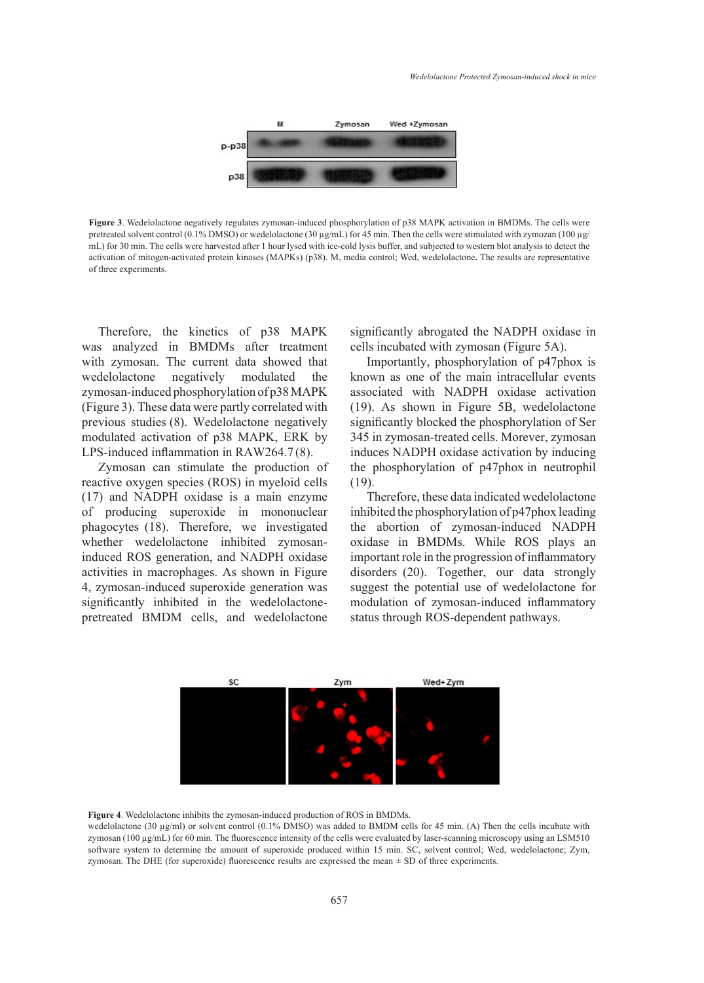

Figure 3. Wedelolactone negatively regulates zymosan-induced phosphorylation of p38 MAPK activation in BMDMs. The cells were pretreated solvent control (0.1% DMSO) or wedelolactone (30 µg/mL) for 45 min. Then the cells were stimulated with zymozan (100 µg/ mL) for 30 min. The cells were harvested after 1 hour lysed with ice-cold lysis buffer, and subjected to western blot analysis to detect the participant of the results are representative of the results are representative. activation of mitogen-activated protein kinases (MAPKs) (p38). M, media control; Wed, wedelolactone**.** The results are representative of three experiments. **Figure 3**. Wedelolactone negatively regulates zymosan-induced phosphorylation of

Therefore, the kinetics of p38 MAPK significantly abrogated the NA with zymosan. The current data showed that Importantly, phosphorylatio zymosan-induced phosphorylation of p38 MAPK associated with NADPH ox (Figure 3). These data were partly correlated with  $(19)$ . As shown in Figure 5B modulated activation of p38 MAPK, ERK by 345 in zymosan-treated cells. M was analyzed in BMDMs after treatment wedelolactone negatively modulated the previous studies (8). Wedelolactone negatively LPS-induced inflammation in RAW264.7 (8).

Zymosan can stimulate the production of (17) and NADPH oxidase is a main enzyme Therefore, these data indicate phagocytes (18). Therefore, we investigated the abortion of zymosan-in whether wedelolactone inhibited zymosan-<br>widase in BMDMs. While activities in macrophages. As shown in Figure disorders (20). Together, our significantly inhibited in the wedelolactone- modula reactive oxygen species (ROS) in myeloid cells of producing superoxide in mononuclear induced ROS generation, and NADPH oxidase 4, zymosan-induced superoxide generation was pretreated BMDM cells, and wedelolactone

the kinetics of p38 MAPK significantly abrogated the NADPH oxidase in cells incubated with zymosan (Figure 5A).

345 in zymosan-treated cells. Morever, zymosan<br>induces NA DPU exidese estimation by inducing 1. The current data showed that Importantly, phosphorylation of p47phox is iced phosphorylation of p38 MAPK associated with NADPH oxidase activation known as one of the main intracellular events (19). As shown in Figure 5B, wedelolactone significantly blocked the phosphorylation of Ser induces NADPH oxidase activation by inducing the phosphorylation of p47phox in neutrophil (19).

> Therefore, these data indicated wedelolactone inhibited the phosphorylation of p47phox leading the abortion of zymosan-induced NADPH oxidase in BMDMs. While ROS plays an important role in the progression of inflammatory disorders (20). Together, our data strongly suggest the potential use of wedelolactone for modulation of zymosan-induced inflammatory status through ROS-dependent pathways.



**Figure 4**. Wedelolactone inhibits the zymosan-induced production of ROS in BMDMs.

**Figure 4**. Wedelolactone (50 μg/ml) of solvent control (0.1% DMSO) was added to BMDM cens for 45 mm. (A) filed the cens included with zymosan (100 μg/mL) for 60 min. The fluorescence intensity of the cells were evaluated zymosan. The DHE (for superoxide) fluorescence results are expressed the mean  $\pm$  SD of three experiments. wedelolactone (30  $\mu$ g/ml) or solvent control (0.1% DMSO) was added to BMDM cells for 45 min. (A) Then the cells incubate with software system to determine the amount of superoxide produced within 15 min. SC, solvent control; Wed, wedelolactone; Zym,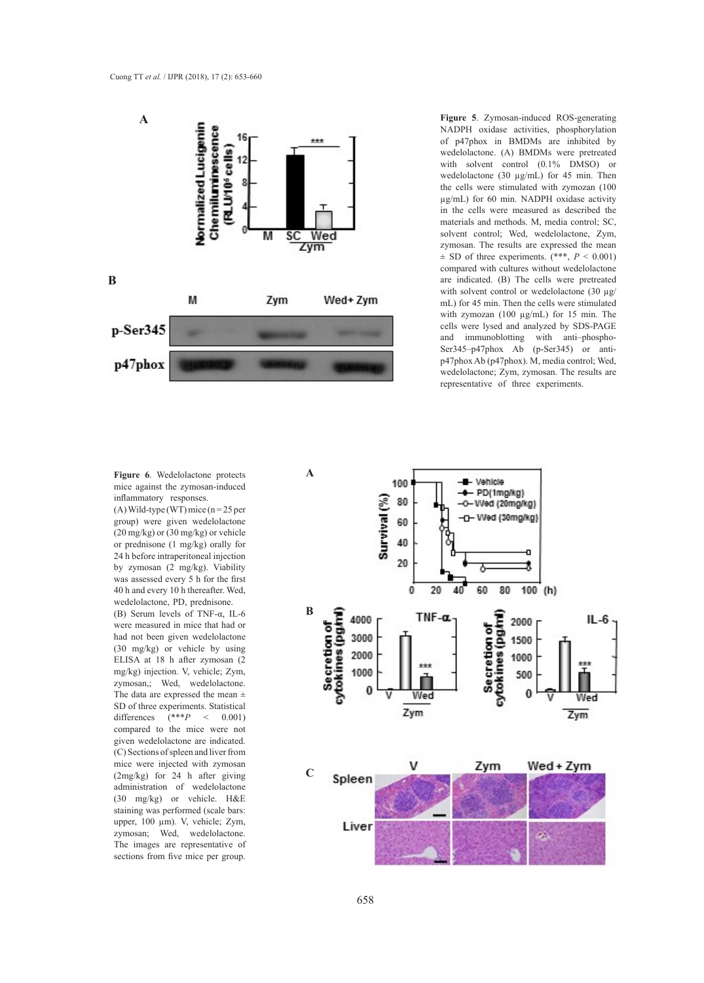

**Figure 5**. Zymosan-induced ROS-generating of p47phox in BMDMs are inhibited by wedelolactone. (A) BMDMs were pretreated wedelolactone (30  $\mu$ g/mL) for 45 min. Then the cells were stimulated with zymozan (100 in the cells were measured as described the materials and methods. M, media control; SC, zymosan. The results are expressed the mean  $\pm$  SD of three experiments. (\*\*\*,  $P < 0.001$ ) compared with cultures without wedelolactone are indicated. (B) The cells were pretreated with solvent control or wedelolactone (30 µg/ mL) for 45 min. Then the cells were stimulated with zymozan (100 μg/mL) for 15 min. The cells were lysed and analyzed by SDS-PAGE and immunoblotting with anti–phospho-Ser345–p47phox Ab (p-Ser345) or antip47phox Ab (p47phox). M, media control; Wed, wedelolactone; Zym, zymosan. The results are representative of three experiments.

### **Figure 6**. Wedelolactone protects mice against the zymosan-induced inflammatory responses.

(A) Wild-type (WT) mice  $(n = 25$  per (20 mg/kg) or (30 mg/kg) or vehicle 24 h before intraperitoneal injection by zymosan (2 mg/kg). Viability was assessed every 5 h for the first 40 h and every 10 h thereafter. Wed, wedelolactone, PD, prednisone.

(B) Serum levels of TNF-α, IL-6 were measured in mice that had or had not been given wedelolactone (30 mg/kg) or vehicle by using mg/kg) injection. V, vehicle; Zym, zymosan,; Wed, wedelolactone. SD of three experiments. Statistical differences (\*\*\**P* < 0.001) compared to the mice were not given wedelolactone are indicated. (C) Sections of spleen and liver from mice were injected with zymosan (2mg/kg) for 24 h after giving administration of wedelolactone (30 mg/kg) or vehicle. H&E staining was performed (scale bars: upper, 100 µm). V, vehicle; Zym, zymosan; Wed, wedelolactone. The images are representative of sections from five mice per group.

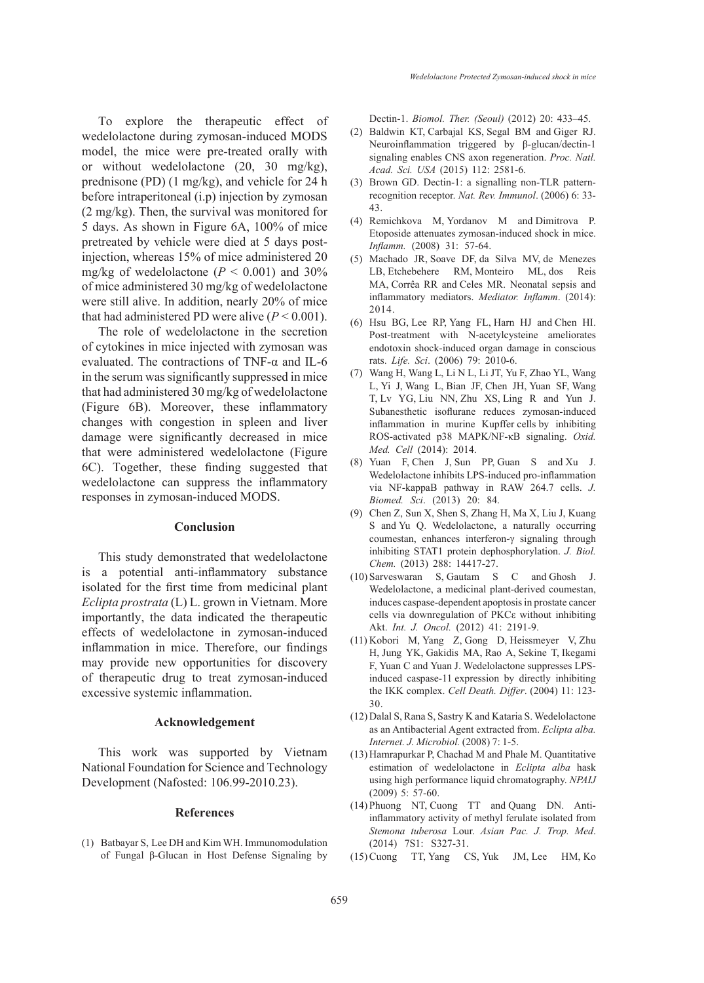To explore the therapeutic effect of wedelolactone during zymosan-induced MODS model, the mice were pre-treated orally with or without wedelolactone (20, 30 mg/kg), prednisone (PD) (1 mg/kg), and vehicle for 24 h before intraperitoneal (i.p) injection by zymosan (2 mg/kg). Then, the survival was monitored for 5 days. As shown in Figure 6A, 100% of mice pretreated by vehicle were died at 5 days postinjection, whereas 15% of mice administered 20 mg/kg of wedelolactone ( $P < 0.001$ ) and 30% of mice administered 30 mg/kg of wedelolactone were still alive. In addition, nearly 20% of mice that had administered PD were alive  $(P < 0.001)$ .

The role of wedelolactone in the secretion of cytokines in mice injected with zymosan was evaluated. The contractions of TNF-α and IL-6 in the serum was significantly suppressed in mice that had administered 30 mg/kg of wedelolactone (Figure 6B). Moreover, these inflammatory changes with congestion in spleen and liver damage were significantly decreased in mice that were administered wedelolactone (Figure 6C). Together, these finding suggested that wedelolactone can suppress the inflammatory responses in zymosan-induced MODS.

#### **Conclusion**

This study demonstrated that wedelolactone is a potential anti-inflammatory substance isolated for the first time from medicinal plant *Eclipta prostrata* (L) L. grown in Vietnam. More importantly, the data indicated the therapeutic effects of wedelolactone in zymosan-induced inflammation in mice. Therefore, our findings may provide new opportunities for discovery of therapeutic drug to treat zymosan-induced excessive systemic inflammation.

### **Acknowledgement**

This work was supported by Vietnam National Foundation for Science and Technology Development (Nafosted: 106.99-2010.23).

### **References**

(1) Batbayar S, Lee DH and Kim WH. Immunomodulation of Fungal β-Glucan in Host Defense Signaling by

Dectin-1. *Biomol. Ther. (Seoul)* (2012) 20: 433–45.

- (2) Baldwin KT, Carbajal KS, Segal BM and Giger RJ. Neuroinflammation triggered by β-glucan/dectin-1 signaling enables CNS axon regeneration. *Proc. Natl. Acad. Sci. USA* (2015) 112: 2581-6.
- (3) Brown GD. Dectin-1: a signalling non-TLR patternrecognition receptor. *Nat. Rev. Immunol*. (2006) 6: 33- 43.
- Remichkova M, Yordanov M and Dimitrova P. (4) Etoposide attenuates zymosan-induced shock in mice. *Inflamm.* (2008) 31: 57-64.
- Machado JR, Soave DF, da Silva MV, de Menezes (5) LB, Etchebehere RM, Monteiro ML, dos Reis MA, Corrêa RR and Celes MR. Neonatal sepsis and inflammatory mediators. *Mediator. Inflamm*. (2014): 2014.
- (6) Hsu BG, Lee RP, Yang FL, Harn HJ and Chen HI. Post-treatment with N-acetylcysteine ameliorates endotoxin shock-induced organ damage in conscious rats. *Life. Sci*. (2006) 79: 2010-6.
- Wang H, Wang L, Li N L, Li JT, Yu F, Zhao YL, Wang (7) L, Yi J, Wang L, Bian JF, Chen JH, Yuan SF, Wang T, Lv YG, Liu NN, Zhu XS, Ling R and Yun J. Subanesthetic isoflurane reduces zymosan-induced inflammation in murine Kupffer cells by inhibiting ROS-activated p38 MAPK/NF-κB signaling. *Oxid. Med. Cell* (2014): 2014.
- Yuan F, Chen J, Sun PP, Guan S and Xu J. (8) Wedelolactone inhibits LPS-induced pro-inflammation via NF-kappaB pathway in RAW 264.7 cells. *J. Biomed. Sci*. (2013) 20: 84.
- Chen Z, Sun X, Shen S, Zhang H, Ma X, Liu J, Kuang (9) S and Yu Q. Wedelolactone, a naturally occurring coumestan, enhances interferon-γ signaling through inhibiting STAT1 protein dephosphorylation. *J. Biol. Chem.* (2013) 288: 14417-27.
- Sarveswaran S, Gautam S C and Ghosh J. (10) Wedelolactone, a medicinal plant-derived coumestan, induces caspase-dependent apoptosis in prostate cancer cells via downregulation of PKCε without inhibiting Akt. *Int. J. Oncol.* (2012) 41: 2191-9.
- (11) Kobori M, Yang Z, Gong D, Heissmeyer V, Zhu H, Jung YK, Gakidis MA, Rao A, Sekine T, Ikegami F, Yuan C and Yuan J. Wedelolactone suppresses LPSinduced caspase-11 expression by directly inhibiting the IKK complex. *Cell Death. Differ*. (2004) 11: 123- 30.
- (12) Dalal S, Rana S, Sastry K and Kataria S. Wedelolactone as an Antibacterial Agent extracted from. *Eclipta alba. Internet. J. Microbiol.* (2008) 7: 1-5.
- (13) Hamrapurkar P, Chachad M and Phale M. Quantitative estimation of wedelolactone in *Eclipta alba* hask using high performance liquid chromatography. *NPAIJ* (2009) 5: 57-60.
- (14) Phuong NT, Cuong TT and Quang DN. Antiinflammatory activity of methyl ferulate isolated from *Stemona tuberosa* Lour. *Asian Pac. J. Trop. Med*. (2014) 7S1: S327-31.
- Cuong TT, Yang CS, Yuk JM, Lee HM, Ko (15)